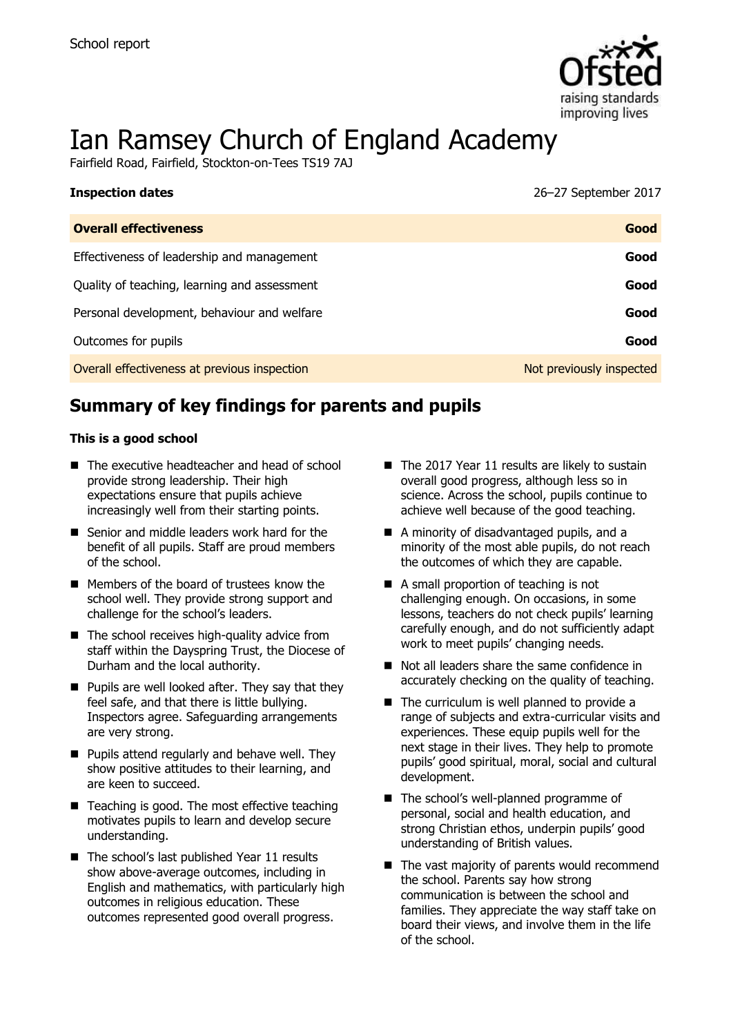

# Ian Ramsey Church of England Academy

Fairfield Road, Fairfield, Stockton-on-Tees TS19 7AJ

| <b>Inspection dates</b>                      | 26-27 September 2017     |
|----------------------------------------------|--------------------------|
| <b>Overall effectiveness</b>                 | Good                     |
| Effectiveness of leadership and management   | Good                     |
| Quality of teaching, learning and assessment | Good                     |
| Personal development, behaviour and welfare  | Good                     |
| Outcomes for pupils                          | Good                     |
| Overall effectiveness at previous inspection | Not previously inspected |

# **Summary of key findings for parents and pupils**

#### **This is a good school**

- The executive headteacher and head of school provide strong leadership. Their high expectations ensure that pupils achieve increasingly well from their starting points.
- Senior and middle leaders work hard for the benefit of all pupils. Staff are proud members of the school.
- Members of the board of trustees know the school well. They provide strong support and challenge for the school's leaders.
- $\blacksquare$  The school receives high-quality advice from staff within the Dayspring Trust, the Diocese of Durham and the local authority.
- $\blacksquare$  Pupils are well looked after. They say that they feel safe, and that there is little bullying. Inspectors agree. Safeguarding arrangements are very strong.
- **Pupils attend regularly and behave well. They** show positive attitudes to their learning, and are keen to succeed.
- Teaching is good. The most effective teaching motivates pupils to learn and develop secure understanding.
- $\blacksquare$  The school's last published Year 11 results show above-average outcomes, including in English and mathematics, with particularly high outcomes in religious education. These outcomes represented good overall progress.
- $\blacksquare$  The 2017 Year 11 results are likely to sustain overall good progress, although less so in science. Across the school, pupils continue to achieve well because of the good teaching.
- A minority of disadvantaged pupils, and a minority of the most able pupils, do not reach the outcomes of which they are capable.
- A small proportion of teaching is not challenging enough. On occasions, in some lessons, teachers do not check pupils' learning carefully enough, and do not sufficiently adapt work to meet pupils' changing needs.
- Not all leaders share the same confidence in accurately checking on the quality of teaching.
- $\blacksquare$  The curriculum is well planned to provide a range of subjects and extra-curricular visits and experiences. These equip pupils well for the next stage in their lives. They help to promote pupils' good spiritual, moral, social and cultural development.
- The school's well-planned programme of personal, social and health education, and strong Christian ethos, underpin pupils' good understanding of British values.
- The vast majority of parents would recommend the school. Parents say how strong communication is between the school and families. They appreciate the way staff take on board their views, and involve them in the life of the school.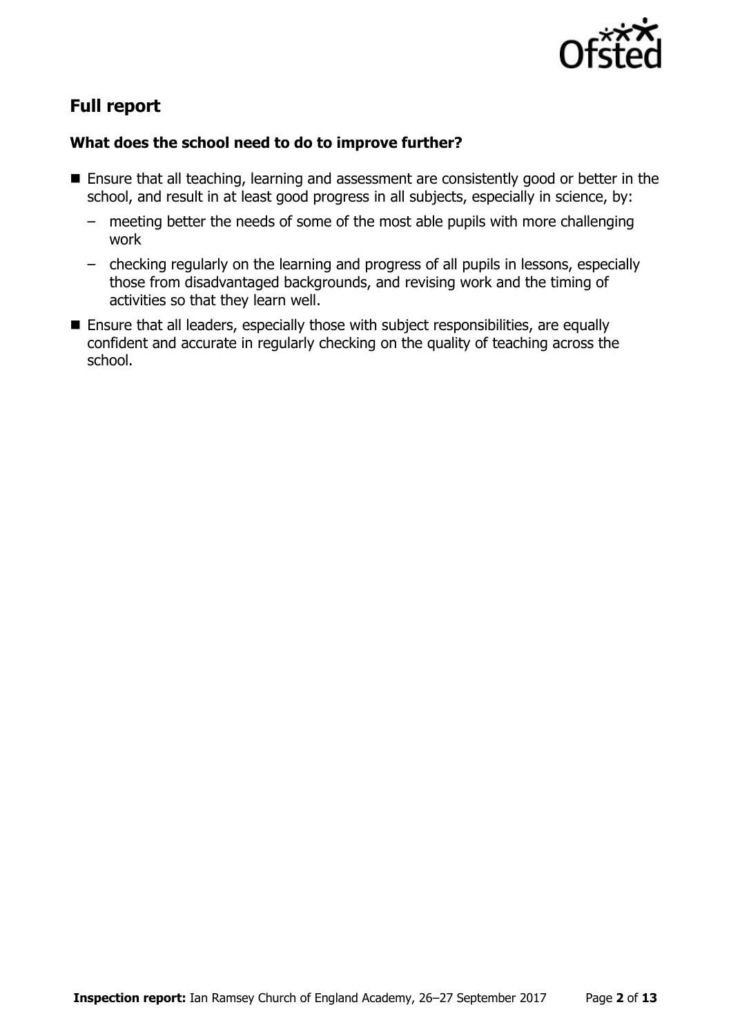

# **Full report**

#### **What does the school need to do to improve further?**

- Ensure that all teaching, learning and assessment are consistently good or better in the school, and result in at least good progress in all subjects, especially in science, by:
	- meeting better the needs of some of the most able pupils with more challenging work
	- checking regularly on the learning and progress of all pupils in lessons, especially those from disadvantaged backgrounds, and revising work and the timing of activities so that they learn well.
- Ensure that all leaders, especially those with subject responsibilities, are equally confident and accurate in regularly checking on the quality of teaching across the school.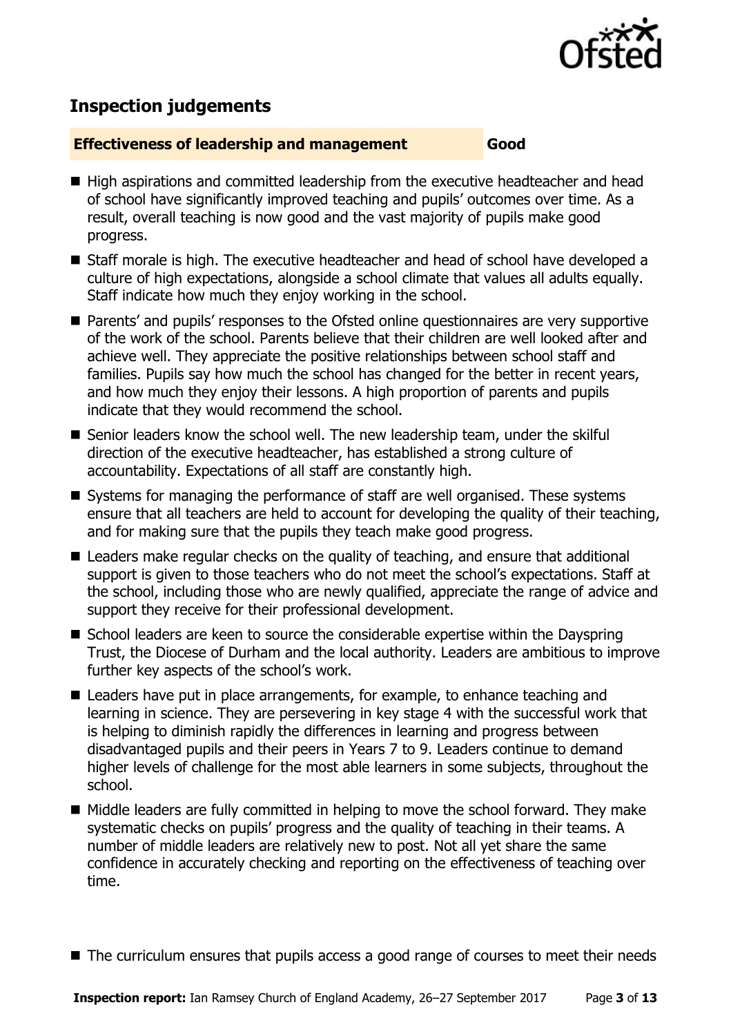

# **Inspection judgements**

#### **Effectiveness of leadership and management Good**

- High aspirations and committed leadership from the executive headteacher and head of school have significantly improved teaching and pupils' outcomes over time. As a result, overall teaching is now good and the vast majority of pupils make good progress.
- Staff morale is high. The executive headteacher and head of school have developed a culture of high expectations, alongside a school climate that values all adults equally. Staff indicate how much they enjoy working in the school.
- Parents' and pupils' responses to the Ofsted online questionnaires are very supportive of the work of the school. Parents believe that their children are well looked after and achieve well. They appreciate the positive relationships between school staff and families. Pupils say how much the school has changed for the better in recent years, and how much they enjoy their lessons. A high proportion of parents and pupils indicate that they would recommend the school.
- Senior leaders know the school well. The new leadership team, under the skilful direction of the executive headteacher, has established a strong culture of accountability. Expectations of all staff are constantly high.
- Systems for managing the performance of staff are well organised. These systems ensure that all teachers are held to account for developing the quality of their teaching, and for making sure that the pupils they teach make good progress.
- Leaders make regular checks on the quality of teaching, and ensure that additional support is given to those teachers who do not meet the school's expectations. Staff at the school, including those who are newly qualified, appreciate the range of advice and support they receive for their professional development.
- School leaders are keen to source the considerable expertise within the Dayspring Trust, the Diocese of Durham and the local authority. Leaders are ambitious to improve further key aspects of the school's work.
- Leaders have put in place arrangements, for example, to enhance teaching and learning in science. They are persevering in key stage 4 with the successful work that is helping to diminish rapidly the differences in learning and progress between disadvantaged pupils and their peers in Years 7 to 9. Leaders continue to demand higher levels of challenge for the most able learners in some subjects, throughout the school.
- Middle leaders are fully committed in helping to move the school forward. They make systematic checks on pupils' progress and the quality of teaching in their teams. A number of middle leaders are relatively new to post. Not all yet share the same confidence in accurately checking and reporting on the effectiveness of teaching over time.
- The curriculum ensures that pupils access a good range of courses to meet their needs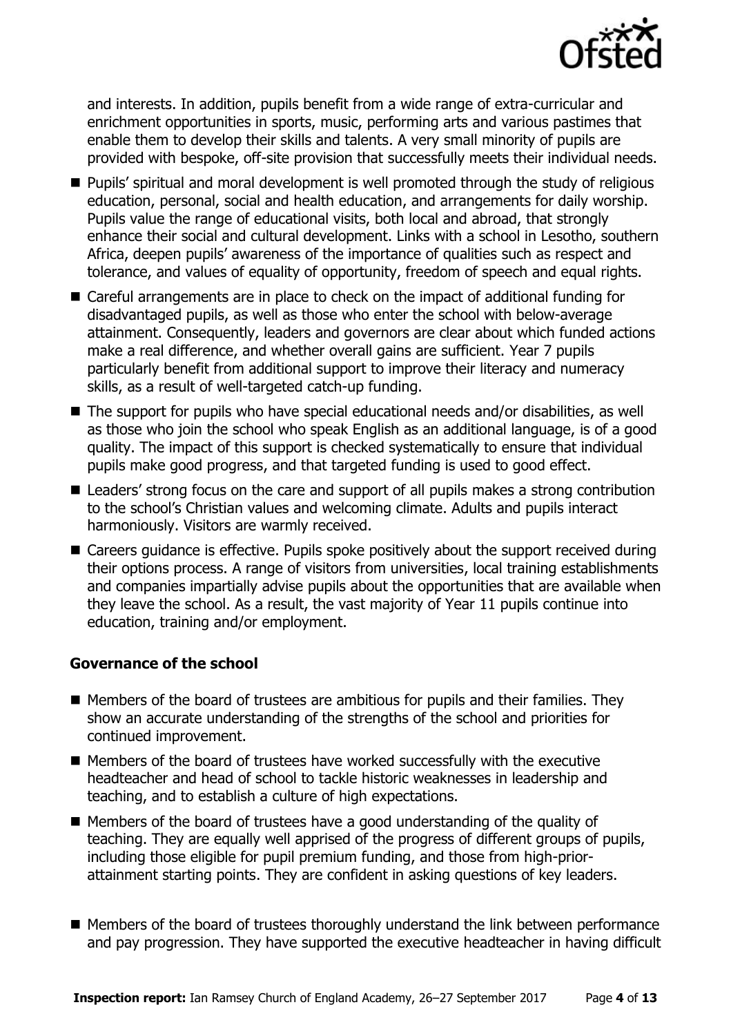

and interests. In addition, pupils benefit from a wide range of extra-curricular and enrichment opportunities in sports, music, performing arts and various pastimes that enable them to develop their skills and talents. A very small minority of pupils are provided with bespoke, off-site provision that successfully meets their individual needs.

- **Pupils'** spiritual and moral development is well promoted through the study of religious education, personal, social and health education, and arrangements for daily worship. Pupils value the range of educational visits, both local and abroad, that strongly enhance their social and cultural development. Links with a school in Lesotho, southern Africa, deepen pupils' awareness of the importance of qualities such as respect and tolerance, and values of equality of opportunity, freedom of speech and equal rights.
- Careful arrangements are in place to check on the impact of additional funding for disadvantaged pupils, as well as those who enter the school with below-average attainment. Consequently, leaders and governors are clear about which funded actions make a real difference, and whether overall gains are sufficient. Year 7 pupils particularly benefit from additional support to improve their literacy and numeracy skills, as a result of well-targeted catch-up funding.
- The support for pupils who have special educational needs and/or disabilities, as well as those who join the school who speak English as an additional language, is of a good quality. The impact of this support is checked systematically to ensure that individual pupils make good progress, and that targeted funding is used to good effect.
- Leaders' strong focus on the care and support of all pupils makes a strong contribution to the school's Christian values and welcoming climate. Adults and pupils interact harmoniously. Visitors are warmly received.
- Careers guidance is effective. Pupils spoke positively about the support received during their options process. A range of visitors from universities, local training establishments and companies impartially advise pupils about the opportunities that are available when they leave the school. As a result, the vast majority of Year 11 pupils continue into education, training and/or employment.

#### **Governance of the school**

- $\blacksquare$  Members of the board of trustees are ambitious for pupils and their families. They show an accurate understanding of the strengths of the school and priorities for continued improvement.
- Members of the board of trustees have worked successfully with the executive headteacher and head of school to tackle historic weaknesses in leadership and teaching, and to establish a culture of high expectations.
- Members of the board of trustees have a good understanding of the quality of teaching. They are equally well apprised of the progress of different groups of pupils, including those eligible for pupil premium funding, and those from high-priorattainment starting points. They are confident in asking questions of key leaders.
- Members of the board of trustees thoroughly understand the link between performance and pay progression. They have supported the executive headteacher in having difficult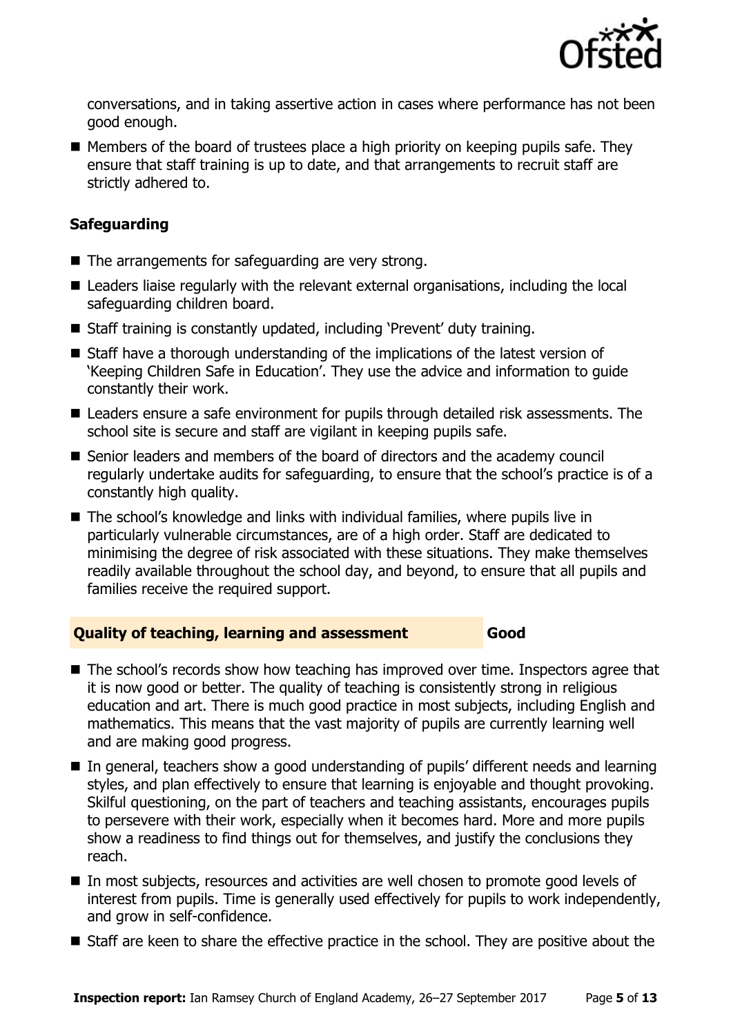

conversations, and in taking assertive action in cases where performance has not been good enough.

 $\blacksquare$  Members of the board of trustees place a high priority on keeping pupils safe. They ensure that staff training is up to date, and that arrangements to recruit staff are strictly adhered to.

#### **Safeguarding**

- $\blacksquare$  The arrangements for safeguarding are very strong.
- Leaders liaise regularly with the relevant external organisations, including the local safeguarding children board.
- Staff training is constantly updated, including 'Prevent' duty training.
- Staff have a thorough understanding of the implications of the latest version of 'Keeping Children Safe in Education'. They use the advice and information to guide constantly their work.
- Leaders ensure a safe environment for pupils through detailed risk assessments. The school site is secure and staff are vigilant in keeping pupils safe.
- Senior leaders and members of the board of directors and the academy council regularly undertake audits for safeguarding, to ensure that the school's practice is of a constantly high quality.
- The school's knowledge and links with individual families, where pupils live in particularly vulnerable circumstances, are of a high order. Staff are dedicated to minimising the degree of risk associated with these situations. They make themselves readily available throughout the school day, and beyond, to ensure that all pupils and families receive the required support.

#### **Quality of teaching, learning and assessment Good**

- The school's records show how teaching has improved over time. Inspectors agree that it is now good or better. The quality of teaching is consistently strong in religious education and art. There is much good practice in most subjects, including English and mathematics. This means that the vast majority of pupils are currently learning well and are making good progress.
- In general, teachers show a good understanding of pupils' different needs and learning styles, and plan effectively to ensure that learning is enjoyable and thought provoking. Skilful questioning, on the part of teachers and teaching assistants, encourages pupils to persevere with their work, especially when it becomes hard. More and more pupils show a readiness to find things out for themselves, and justify the conclusions they reach.
- In most subjects, resources and activities are well chosen to promote good levels of interest from pupils. Time is generally used effectively for pupils to work independently, and grow in self-confidence.
- Staff are keen to share the effective practice in the school. They are positive about the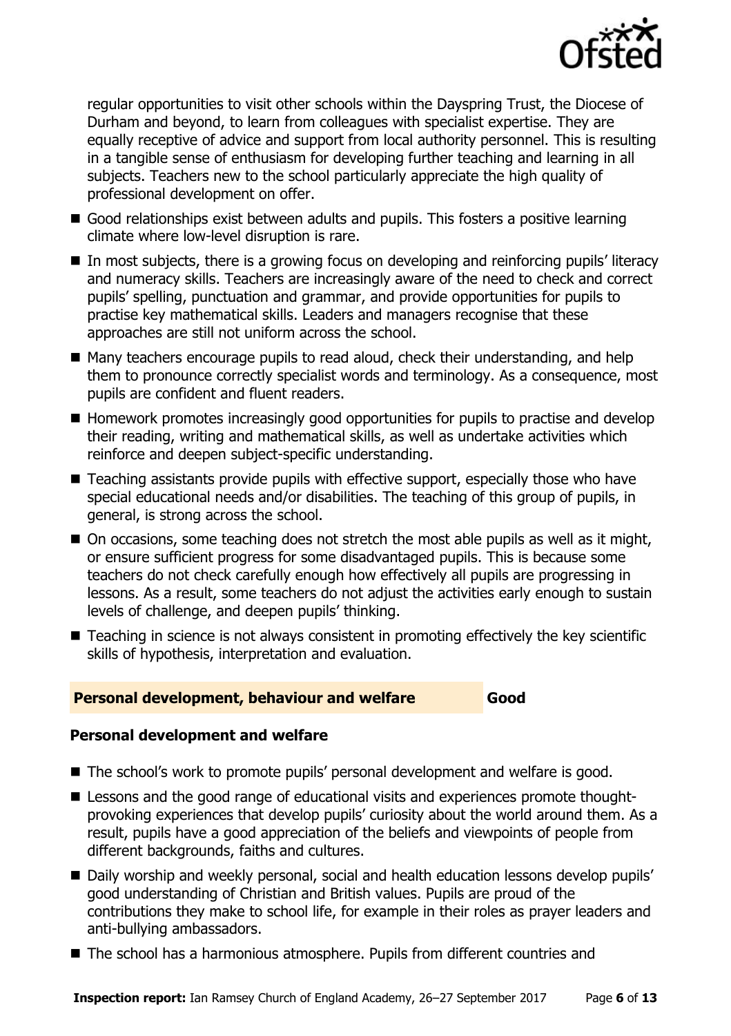

regular opportunities to visit other schools within the Dayspring Trust, the Diocese of Durham and beyond, to learn from colleagues with specialist expertise. They are equally receptive of advice and support from local authority personnel. This is resulting in a tangible sense of enthusiasm for developing further teaching and learning in all subjects. Teachers new to the school particularly appreciate the high quality of professional development on offer.

- Good relationships exist between adults and pupils. This fosters a positive learning climate where low-level disruption is rare.
- In most subjects, there is a growing focus on developing and reinforcing pupils' literacy and numeracy skills. Teachers are increasingly aware of the need to check and correct pupils' spelling, punctuation and grammar, and provide opportunities for pupils to practise key mathematical skills. Leaders and managers recognise that these approaches are still not uniform across the school.
- Many teachers encourage pupils to read aloud, check their understanding, and help them to pronounce correctly specialist words and terminology. As a consequence, most pupils are confident and fluent readers.
- Homework promotes increasingly good opportunities for pupils to practise and develop their reading, writing and mathematical skills, as well as undertake activities which reinforce and deepen subject-specific understanding.
- Teaching assistants provide pupils with effective support, especially those who have special educational needs and/or disabilities. The teaching of this group of pupils, in general, is strong across the school.
- On occasions, some teaching does not stretch the most able pupils as well as it might, or ensure sufficient progress for some disadvantaged pupils. This is because some teachers do not check carefully enough how effectively all pupils are progressing in lessons. As a result, some teachers do not adjust the activities early enough to sustain levels of challenge, and deepen pupils' thinking.
- Teaching in science is not always consistent in promoting effectively the key scientific skills of hypothesis, interpretation and evaluation.

#### **Personal development, behaviour and welfare Good**

## **Personal development and welfare**

- The school's work to promote pupils' personal development and welfare is good.
- Lessons and the good range of educational visits and experiences promote thoughtprovoking experiences that develop pupils' curiosity about the world around them. As a result, pupils have a good appreciation of the beliefs and viewpoints of people from different backgrounds, faiths and cultures.
- Daily worship and weekly personal, social and health education lessons develop pupils' good understanding of Christian and British values. Pupils are proud of the contributions they make to school life, for example in their roles as prayer leaders and anti-bullying ambassadors.
- The school has a harmonious atmosphere. Pupils from different countries and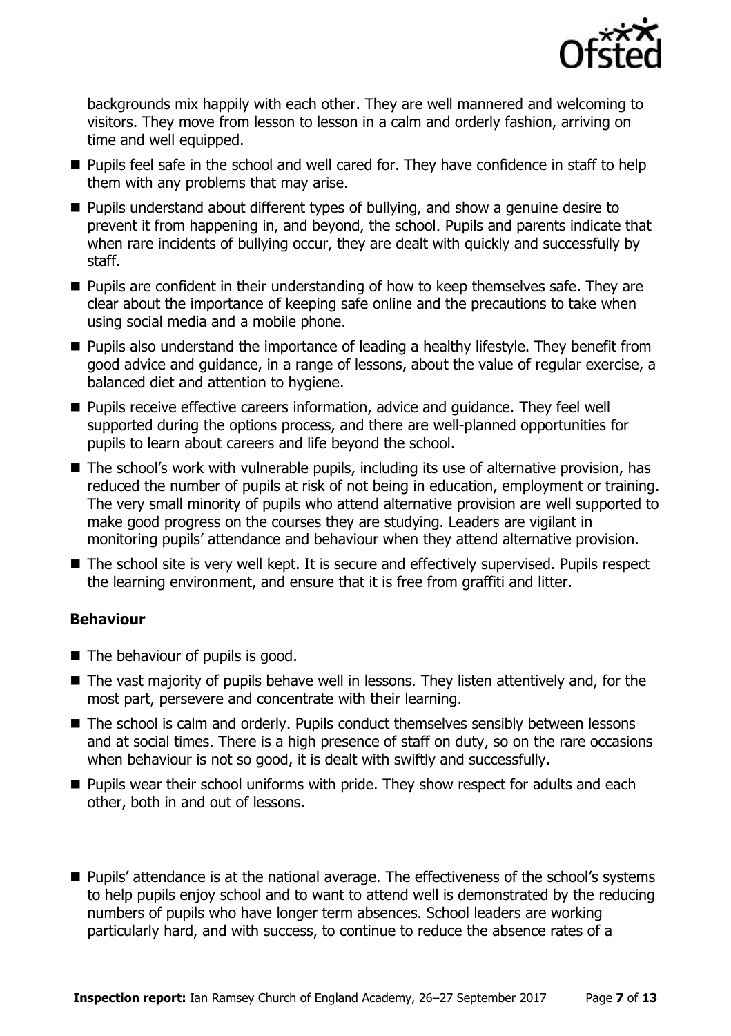

backgrounds mix happily with each other. They are well mannered and welcoming to visitors. They move from lesson to lesson in a calm and orderly fashion, arriving on time and well equipped.

- **Pupils feel safe in the school and well cared for. They have confidence in staff to help** them with any problems that may arise.
- **Pupils understand about different types of bullying, and show a genuine desire to** prevent it from happening in, and beyond, the school. Pupils and parents indicate that when rare incidents of bullying occur, they are dealt with quickly and successfully by staff.
- **Pupils are confident in their understanding of how to keep themselves safe. They are** clear about the importance of keeping safe online and the precautions to take when using social media and a mobile phone.
- **Pupils also understand the importance of leading a healthy lifestyle. They benefit from** good advice and guidance, in a range of lessons, about the value of regular exercise, a balanced diet and attention to hygiene.
- **Pupils receive effective careers information, advice and guidance. They feel well** supported during the options process, and there are well-planned opportunities for pupils to learn about careers and life beyond the school.
- The school's work with vulnerable pupils, including its use of alternative provision, has reduced the number of pupils at risk of not being in education, employment or training. The very small minority of pupils who attend alternative provision are well supported to make good progress on the courses they are studying. Leaders are vigilant in monitoring pupils' attendance and behaviour when they attend alternative provision.
- The school site is very well kept. It is secure and effectively supervised. Pupils respect the learning environment, and ensure that it is free from graffiti and litter.

### **Behaviour**

- $\blacksquare$  The behaviour of pupils is good.
- The vast majority of pupils behave well in lessons. They listen attentively and, for the most part, persevere and concentrate with their learning.
- The school is calm and orderly. Pupils conduct themselves sensibly between lessons and at social times. There is a high presence of staff on duty, so on the rare occasions when behaviour is not so good, it is dealt with swiftly and successfully.
- $\blacksquare$  Pupils wear their school uniforms with pride. They show respect for adults and each other, both in and out of lessons.
- **Pupils' attendance is at the national average. The effectiveness of the school's systems** to help pupils enjoy school and to want to attend well is demonstrated by the reducing numbers of pupils who have longer term absences. School leaders are working particularly hard, and with success, to continue to reduce the absence rates of a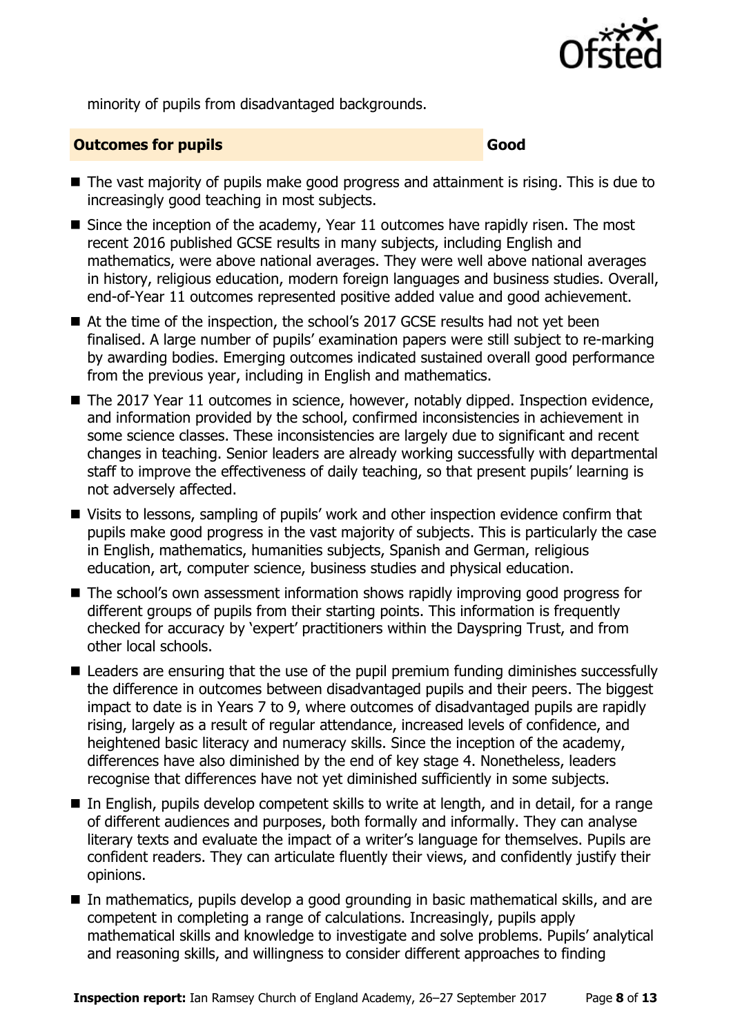

minority of pupils from disadvantaged backgrounds.

#### **Outcomes for pupils Good**

- The vast majority of pupils make good progress and attainment is rising. This is due to increasingly good teaching in most subjects.
- Since the inception of the academy, Year 11 outcomes have rapidly risen. The most recent 2016 published GCSE results in many subjects, including English and mathematics, were above national averages. They were well above national averages in history, religious education, modern foreign languages and business studies. Overall, end-of-Year 11 outcomes represented positive added value and good achievement.
- At the time of the inspection, the school's 2017 GCSE results had not yet been finalised. A large number of pupils' examination papers were still subject to re-marking by awarding bodies. Emerging outcomes indicated sustained overall good performance from the previous year, including in English and mathematics.
- The 2017 Year 11 outcomes in science, however, notably dipped. Inspection evidence, and information provided by the school, confirmed inconsistencies in achievement in some science classes. These inconsistencies are largely due to significant and recent changes in teaching. Senior leaders are already working successfully with departmental staff to improve the effectiveness of daily teaching, so that present pupils' learning is not adversely affected.
- Visits to lessons, sampling of pupils' work and other inspection evidence confirm that pupils make good progress in the vast majority of subjects. This is particularly the case in English, mathematics, humanities subjects, Spanish and German, religious education, art, computer science, business studies and physical education.
- The school's own assessment information shows rapidly improving good progress for different groups of pupils from their starting points. This information is frequently checked for accuracy by 'expert' practitioners within the Dayspring Trust, and from other local schools.
- Leaders are ensuring that the use of the pupil premium funding diminishes successfully the difference in outcomes between disadvantaged pupils and their peers. The biggest impact to date is in Years 7 to 9, where outcomes of disadvantaged pupils are rapidly rising, largely as a result of regular attendance, increased levels of confidence, and heightened basic literacy and numeracy skills. Since the inception of the academy, differences have also diminished by the end of key stage 4. Nonetheless, leaders recognise that differences have not yet diminished sufficiently in some subjects.
- In English, pupils develop competent skills to write at length, and in detail, for a range of different audiences and purposes, both formally and informally. They can analyse literary texts and evaluate the impact of a writer's language for themselves. Pupils are confident readers. They can articulate fluently their views, and confidently justify their opinions.
- In mathematics, pupils develop a good grounding in basic mathematical skills, and are competent in completing a range of calculations. Increasingly, pupils apply mathematical skills and knowledge to investigate and solve problems. Pupils' analytical and reasoning skills, and willingness to consider different approaches to finding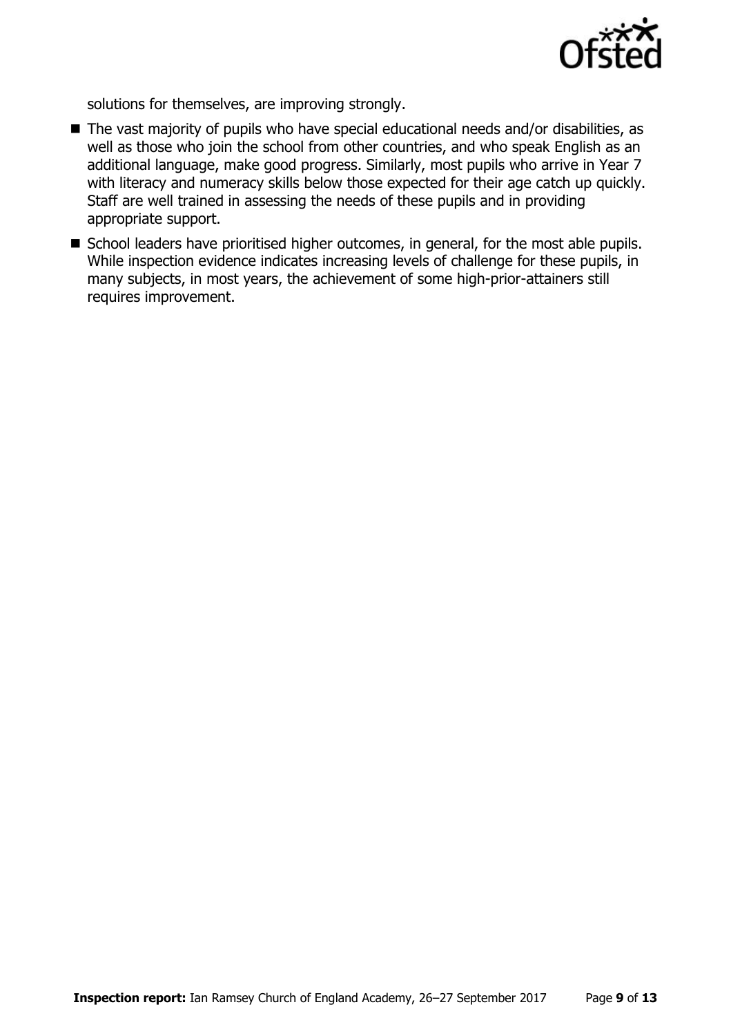

solutions for themselves, are improving strongly.

- The vast majority of pupils who have special educational needs and/or disabilities, as well as those who join the school from other countries, and who speak English as an additional language, make good progress. Similarly, most pupils who arrive in Year 7 with literacy and numeracy skills below those expected for their age catch up quickly. Staff are well trained in assessing the needs of these pupils and in providing appropriate support.
- School leaders have prioritised higher outcomes, in general, for the most able pupils. While inspection evidence indicates increasing levels of challenge for these pupils, in many subjects, in most years, the achievement of some high-prior-attainers still requires improvement.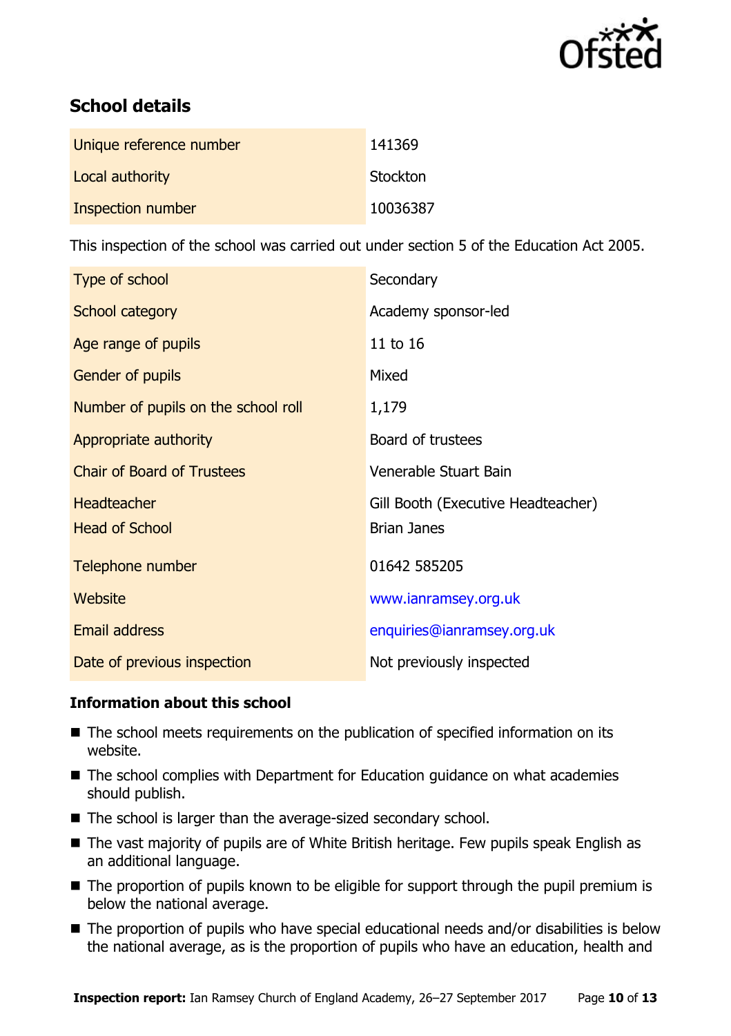

# **School details**

| Unique reference number | 141369   |
|-------------------------|----------|
| Local authority         | Stockton |
| Inspection number       | 10036387 |

This inspection of the school was carried out under section 5 of the Education Act 2005.

| Type of school                      | Secondary                          |
|-------------------------------------|------------------------------------|
| School category                     | Academy sponsor-led                |
| Age range of pupils                 | 11 to 16                           |
| <b>Gender of pupils</b>             | Mixed                              |
| Number of pupils on the school roll | 1,179                              |
| Appropriate authority               | Board of trustees                  |
| <b>Chair of Board of Trustees</b>   | Venerable Stuart Bain              |
| <b>Headteacher</b>                  | Gill Booth (Executive Headteacher) |
| <b>Head of School</b>               | <b>Brian Janes</b>                 |
| Telephone number                    | 01642 585205                       |
| Website                             | www.ianramsey.org.uk               |
| <b>Email address</b>                | enquiries@ianramsey.org.uk         |
| Date of previous inspection         | Not previously inspected           |

#### **Information about this school**

- The school meets requirements on the publication of specified information on its website.
- The school complies with Department for Education guidance on what academies should publish.
- The school is larger than the average-sized secondary school.
- The vast majority of pupils are of White British heritage. Few pupils speak English as an additional language.
- The proportion of pupils known to be eligible for support through the pupil premium is below the national average.
- The proportion of pupils who have special educational needs and/or disabilities is below the national average, as is the proportion of pupils who have an education, health and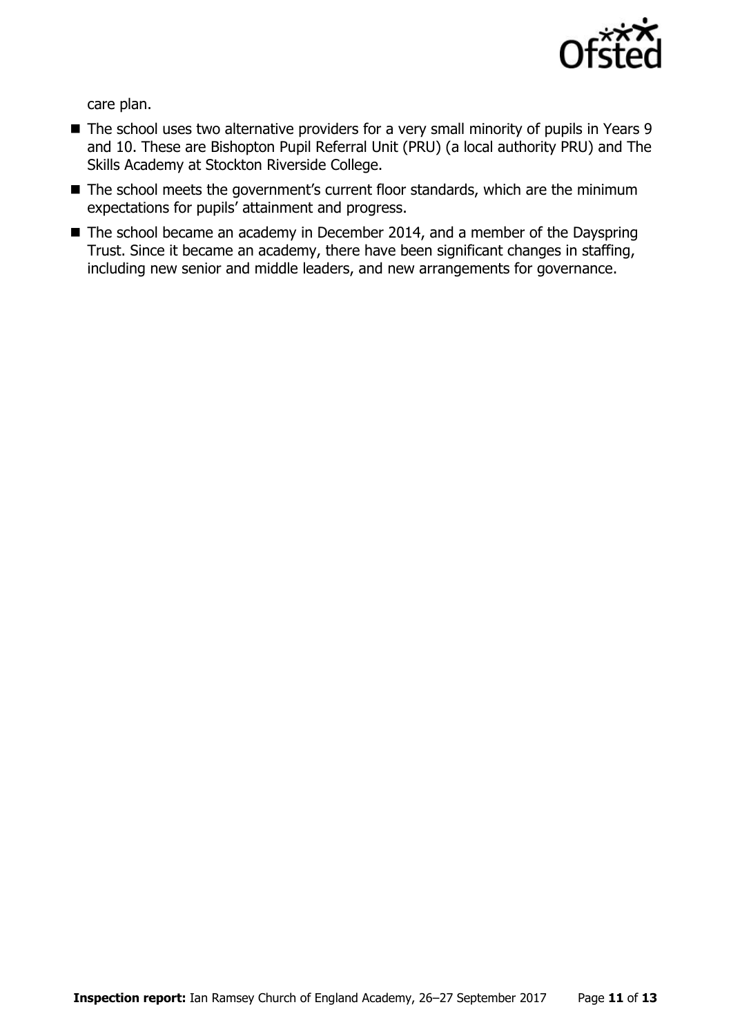

care plan.

- The school uses two alternative providers for a very small minority of pupils in Years 9 and 10. These are Bishopton Pupil Referral Unit (PRU) (a local authority PRU) and The Skills Academy at Stockton Riverside College.
- The school meets the government's current floor standards, which are the minimum expectations for pupils' attainment and progress.
- The school became an academy in December 2014, and a member of the Dayspring Trust. Since it became an academy, there have been significant changes in staffing, including new senior and middle leaders, and new arrangements for governance.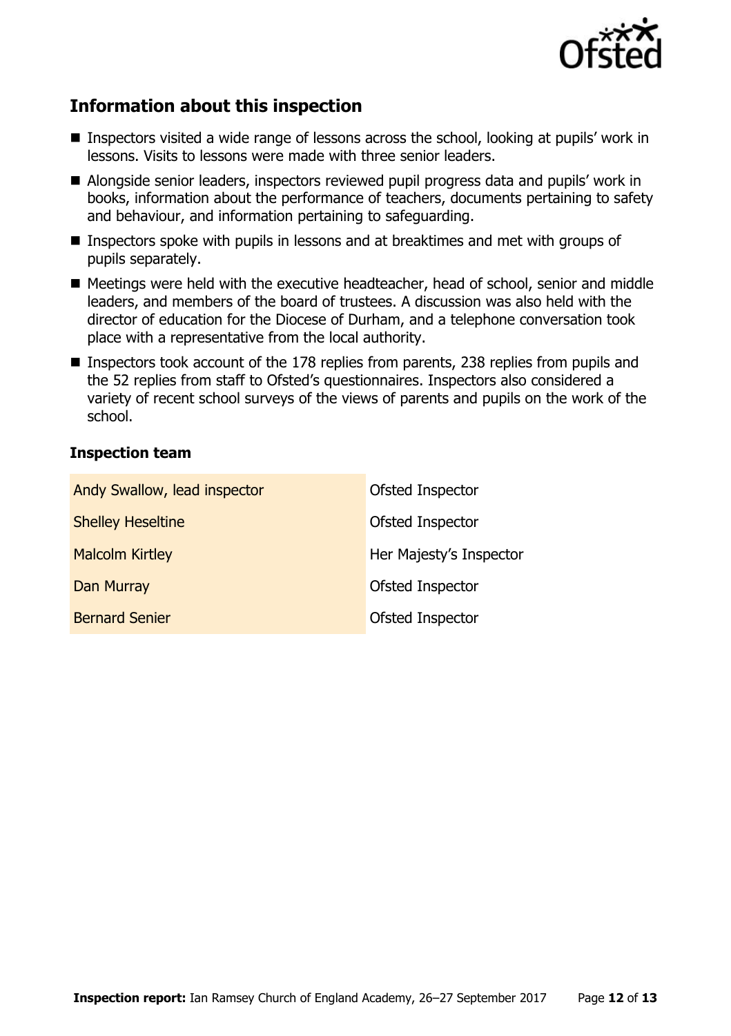

# **Information about this inspection**

- Inspectors visited a wide range of lessons across the school, looking at pupils' work in lessons. Visits to lessons were made with three senior leaders.
- Alongside senior leaders, inspectors reviewed pupil progress data and pupils' work in books, information about the performance of teachers, documents pertaining to safety and behaviour, and information pertaining to safeguarding.
- Inspectors spoke with pupils in lessons and at breaktimes and met with groups of pupils separately.
- Meetings were held with the executive headteacher, head of school, senior and middle leaders, and members of the board of trustees. A discussion was also held with the director of education for the Diocese of Durham, and a telephone conversation took place with a representative from the local authority.
- Inspectors took account of the 178 replies from parents, 238 replies from pupils and the 52 replies from staff to Ofsted's questionnaires. Inspectors also considered a variety of recent school surveys of the views of parents and pupils on the work of the school.

#### **Inspection team**

| Andy Swallow, lead inspector | Ofsted Inspector        |
|------------------------------|-------------------------|
| <b>Shelley Heseltine</b>     | Ofsted Inspector        |
| <b>Malcolm Kirtley</b>       | Her Majesty's Inspector |
| <b>Dan Murray</b>            | Ofsted Inspector        |
| <b>Bernard Senier</b>        | Ofsted Inspector        |